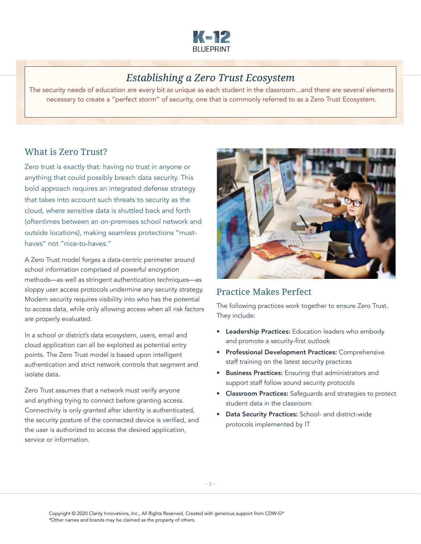

# *Establishing a Zero Trust Ecosystem*

The security needs of education are every bit as unique as each student in the classroom...and there are several elements necessary to create a "perfect storm" of security, one that is commonly referred to as a Zero Trust Ecosystem.

### What is Zero Trust?

Zero trust is exactly that: having no trust in anyone or anything that could possibly breach data security. This bold approach requires an integrated defense strategy that takes into account such threats to security as the cloud, where sensitive data is shuttled back and forth (oftentimes between an on-premises school network and outside locations), making seamless protections "musthaves" not "nice-to-haves."

A Zero Trust model forges a data-centric perimeter around school information comprised of powerful encryption methods—as well as stringent authentication techniques—as sloppy user access protocols undermine any security strategy. Modern security requires visibility into who has the potential to access data, while only allowing access when all risk factors are properly evaluated.

In a school or district's data ecosystem, users, email and cloud application can all be exploited as potential entry points. The Zero Trust model is based upon intelligent authentication and strict network controls that segment and isolate data.

Zero Trust assumes that a network must verify anyone and anything trying to connect before granting access. Connectivity is only granted after identity is authenticated, the security posture of the connected device is verified, and the user is authorized to access the desired application, service or information.



## Practice Makes Perfect

The following practices work together to ensure Zero Trust. They include:

- Leadership Practices: Education leaders who embody and promote a security-first outlook
- Professional Development Practices: Comprehensive staff training on the latest security practices
- Business Practices: Ensuring that administrators and support staff follow sound security protocols
- Classroom Practices: Safeguards and strategies to protect student data in the classroom
- Data Security Practices: School- and district-wide protocols implemented by IT